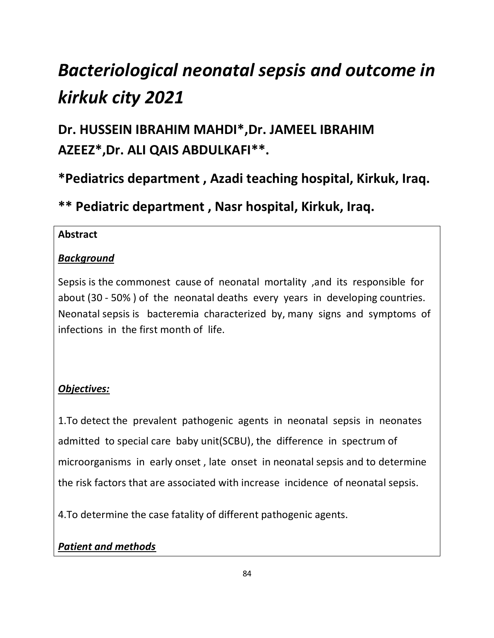# *Bacteriological neonatal sepsis and outcome in kirkuk city 2021*

# **Dr. HUSSEIN IBRAHIM MAHDI\*,Dr. JAMEEL IBRAHIM AZEEZ\*,Dr. ALI QAIS ABDULKAFI\*\*.**

# **\*Pediatrics department , Azadi teaching hospital, Kirkuk, Iraq.**

**\*\* Pediatric department , Nasr hospital, Kirkuk, Iraq.**

## **Abstract**

## *Background*

Sepsis is the commonest cause of neonatal mortality ,and its responsible for about (30 - 50% ) of the neonatal deaths every years in developing countries. Neonatal sepsis is bacteremia characterized by, many signs and symptoms of infections in the first month of life.

# *Objectives:*

1.To detect the prevalent pathogenic agents in neonatal sepsis in neonates admitted to special care baby unit(SCBU), the difference in spectrum of microorganisms in early onset , late onset in neonatal sepsis and to determine the risk factors that are associated with increase incidence of neonatal sepsis.

4.To determine the case fatality of different pathogenic agents.

# *Patient and methods*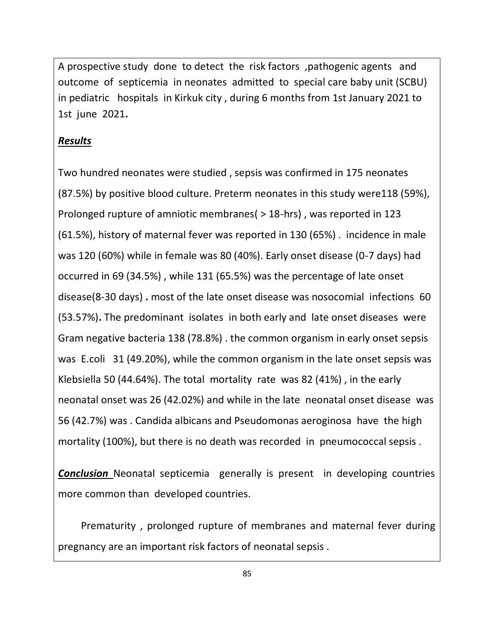A prospective study done to detect the risk factors ,pathogenic agents and outcome of septicemia in neonates admitted to special care baby unit (SCBU) in pediatric hospitals in Kirkuk city , during 6 months from 1st January 2021 to 1st june 2021**.**

#### *Results*

Two hundred neonates were studied , sepsis was confirmed in 175 neonates (87.5%) by positive blood culture. Preterm neonates in this study were118 (59%), Prolonged rupture of amniotic membranes( > 18-hrs) , was reported in 123 (61.5%), history of maternal fever was reported in 130 (65%) . incidence in male was 120 (60%) while in female was 80 (40%). Early onset disease (0-7 days) had occurred in 69 (34.5%) , while 131 (65.5%) was the percentage of late onset disease(8-30 days) **.** most of the late onset disease was nosocomial infections 60 (53.57%)**.** The predominant isolates in both early and late onset diseases were Gram negative bacteria 138 (78.8%) . the common organism in early onset sepsis was E.coli 31 (49.20%), while the common organism in the late onset sepsis was Klebsiella 50 (44.64%). The total mortality rate was 82 (41%) , in the early neonatal onset was 26 (42.02%) and while in the late neonatal onset disease was 56 (42.7%) was . Candida albicans and Pseudomonas aeroginosa have the high mortality (100%), but there is no death was recorded in pneumococcal sepsis .

*Conclusion* Neonatal septicemia generally is present in developing countries more common than developed countries.

 Prematurity , prolonged rupture of membranes and maternal fever during pregnancy are an important risk factors of neonatal sepsis .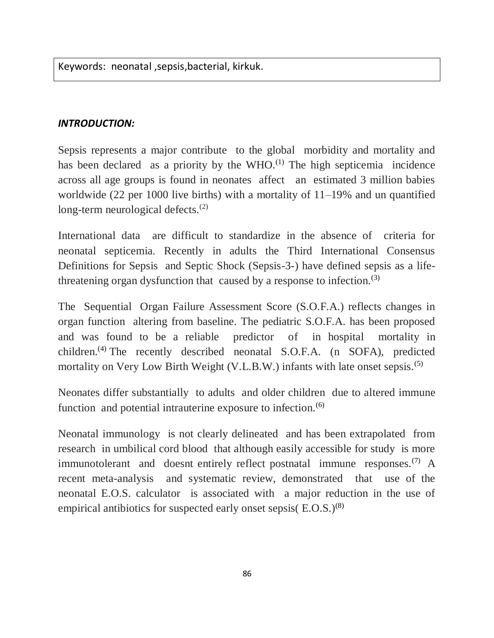Keywords: neonatal ,sepsis,bacterial, kirkuk.

#### *INTRODUCTION:*

Sepsis represents a major contribute to the global morbidity and mortality and has been declared as a priority by the WHO. $^{(1)}$  The high septicemia incidence across all age groups is found in neonates affect an estimated 3 million babies worldwide (22 per 1000 live births) with a mortality of 11–19% and un quantified long-term neurological defects.<sup>(2)</sup>

International data are difficult to standardize in the absence of criteria for neonatal septicemia. Recently in adults the Third International Consensus Definitions for Sepsis and Septic Shock (Sepsis-3-) have defined sepsis as a lifethreatening organ dysfunction that caused by a response to infection.<sup>(3)</sup>

The Sequential Organ Failure Assessment Score (S.O.F.A.) reflects changes in organ function altering from baseline. The pediatric S.O.F.A. has been proposed and was found to be a reliable predictor of in hospital mortality in children.(4) The recently described neonatal S.O.F.A. (n SOFA), predicted mortality on Very Low Birth Weight (V.L.B.W.) infants with late onset sepsis.<sup>(5)</sup>

Neonates differ substantially to adults and older children due to altered immune function and potential intrauterine exposure to infection. $(6)$ 

Neonatal immunology is not clearly delineated and has been extrapolated from research in umbilical cord blood that although easily accessible for study is more immunotolerant and doesnt entirely reflect postnatal immune responses.<sup>(7)</sup> A recent meta-analysis and systematic review, demonstrated that use of the neonatal E.O.S. calculator is associated with a major reduction in the use of empirical antibiotics for suspected early onset sepsis( E.O.S.)<sup>(8)</sup>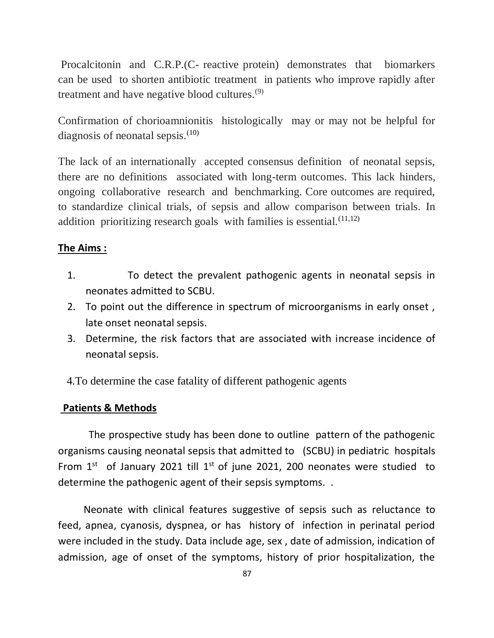Procalcitonin and C.R.P.(C- reactive protein) demonstrates that biomarkers can be used to shorten antibiotic treatment in patients who improve rapidly after treatment and have negative blood cultures.(9)

Confirmation of chorioamnionitis histologically may or may not be helpful for diagnosis of neonatal sepsis. $(10)$ 

The lack of an internationally accepted consensus definition of neonatal sepsis, there are no definitions associated with long-term outcomes. This lack hinders, ongoing collaborative research and benchmarking. Core outcomes are required, to standardize clinical trials, of sepsis and allow comparison between trials. In addition prioritizing research goals with families is essential.<sup>(11,12)</sup>

#### **The Aims :**

- 1. To detect the prevalent pathogenic agents in neonatal sepsis in neonates admitted to SCBU.
- 2. To point out the difference in spectrum of microorganisms in early onset , late onset neonatal sepsis.
- 3. Determine, the risk factors that are associated with increase incidence of neonatal sepsis.

4.To determine the case fatality of different pathogenic agents

#### **Patients & Methods**

 The prospective study has been done to outline pattern of the pathogenic organisms causing neonatal sepsis that admitted to (SCBU) in pediatric hospitals From  $1<sup>st</sup>$  of January 2021 till  $1<sup>st</sup>$  of june 2021, 200 neonates were studied to determine the pathogenic agent of their sepsis symptoms. .

 Neonate with clinical features suggestive of sepsis such as reluctance to feed, apnea, cyanosis, dyspnea, or has history of infection in perinatal period were included in the study. Data include age, sex , date of admission, indication of admission, age of onset of the symptoms, history of prior hospitalization, the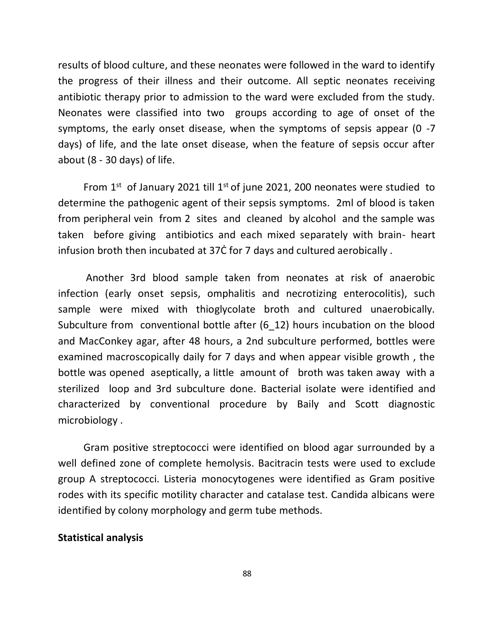results of blood culture, and these neonates were followed in the ward to identify the progress of their illness and their outcome. All septic neonates receiving antibiotic therapy prior to admission to the ward were excluded from the study. Neonates were classified into two groups according to age of onset of the symptoms, the early onset disease, when the symptoms of sepsis appear (0 -7 days) of life, and the late onset disease, when the feature of sepsis occur after about (8 - 30 days) of life.

From  $1<sup>st</sup>$  of January 2021 till  $1<sup>st</sup>$  of june 2021, 200 neonates were studied to determine the pathogenic agent of their sepsis symptoms. 2ml of blood is taken from peripheral vein from 2 sites and cleaned by alcohol and the sample was taken before giving antibiotics and each mixed separately with brain- heart infusion broth then incubated at 37Ċ for 7 days and cultured aerobically .

 Another 3rd blood sample taken from neonates at risk of anaerobic infection (early onset sepsis, omphalitis and necrotizing enterocolitis), such sample were mixed with thioglycolate broth and cultured unaerobically. Subculture from conventional bottle after (6\_12) hours incubation on the blood and MacConkey agar, after 48 hours, a 2nd subculture performed, bottles were examined macroscopically daily for 7 days and when appear visible growth , the bottle was opened aseptically, a little amount of broth was taken away with a sterilized loop and 3rd subculture done. Bacterial isolate were identified and characterized by conventional procedure by Baily and Scott diagnostic microbiology .

 Gram positive streptococci were identified on blood agar surrounded by a well defined zone of complete hemolysis. Bacitracin tests were used to exclude group A streptococci. Listeria monocytogenes were identified as Gram positive rodes with its specific motility character and catalase test. Candida albicans were identified by colony morphology and germ tube methods.

#### **Statistical analysis**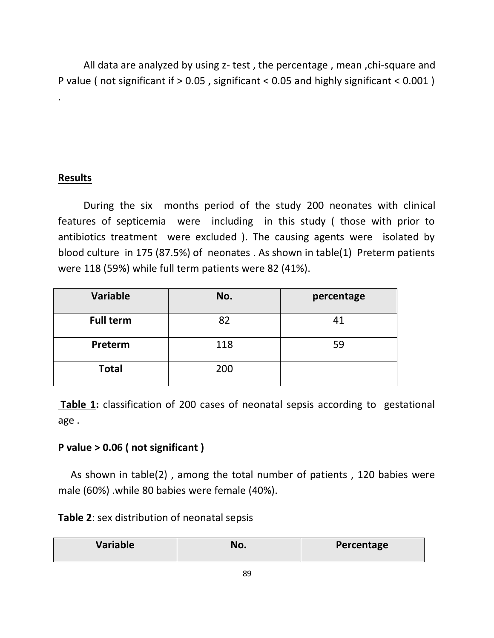All data are analyzed by using z- test , the percentage , mean ,chi-square and P value ( not significant if > 0.05 , significant < 0.05 and highly significant < 0.001 )

## **Results**

.

 During the six months period of the study 200 neonates with clinical features of septicemia were including in this study ( those with prior to antibiotics treatment were excluded ). The causing agents were isolated by blood culture in 175 (87.5%) of neonates . As shown in table(1) Preterm patients were 118 (59%) while full term patients were 82 (41%).

| <b>Variable</b>  | No. | percentage |
|------------------|-----|------------|
| <b>Full term</b> | 82  | 41         |
| Preterm          | 118 | 59         |
| <b>Total</b>     | 200 |            |

**Table 1:** classification of 200 cases of neonatal sepsis according to gestational age .

#### **P value > 0.06 ( not significant )**

 As shown in table(2) , among the total number of patients , 120 babies were male (60%) .while 80 babies were female (40%).

|  | Table 2: sex distribution of neonatal sepsis |  |  |
|--|----------------------------------------------|--|--|
|--|----------------------------------------------|--|--|

| Variable<br>No.<br>Percentage |  |
|-------------------------------|--|
|-------------------------------|--|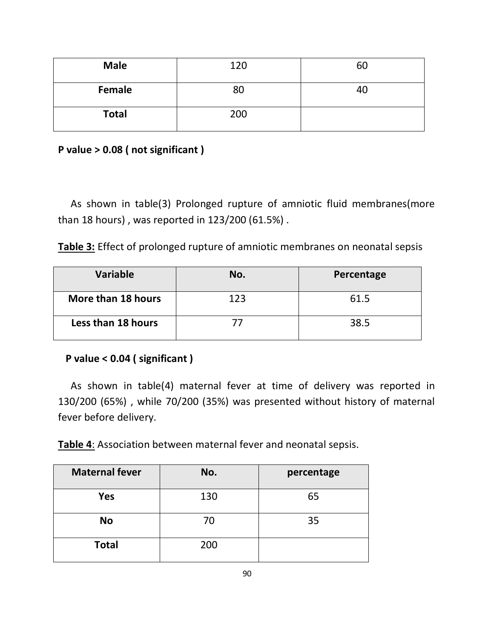| <b>Male</b>  | 120 | 60 |
|--------------|-----|----|
| Female       | 80  | 40 |
| <b>Total</b> | 200 |    |

**P value > 0.08 ( not significant )**

 As shown in table(3) Prolonged rupture of amniotic fluid membranes(more than 18 hours) , was reported in 123/200 (61.5%) .

**Table 3:** Effect of prolonged rupture of amniotic membranes on neonatal sepsis

| Variable           | No. | Percentage |
|--------------------|-----|------------|
| More than 18 hours | 123 | 61.5       |
| Less than 18 hours |     | 38.5       |

#### **P value < 0.04 ( significant )**

 As shown in table(4) maternal fever at time of delivery was reported in 130/200 (65%) , while 70/200 (35%) was presented without history of maternal fever before delivery.

**Table 4**: Association between maternal fever and neonatal sepsis.

| <b>Maternal fever</b> | No. | percentage |
|-----------------------|-----|------------|
| <b>Yes</b>            | 130 | 65         |
| <b>No</b>             | 70  | 35         |
| <b>Total</b>          | 200 |            |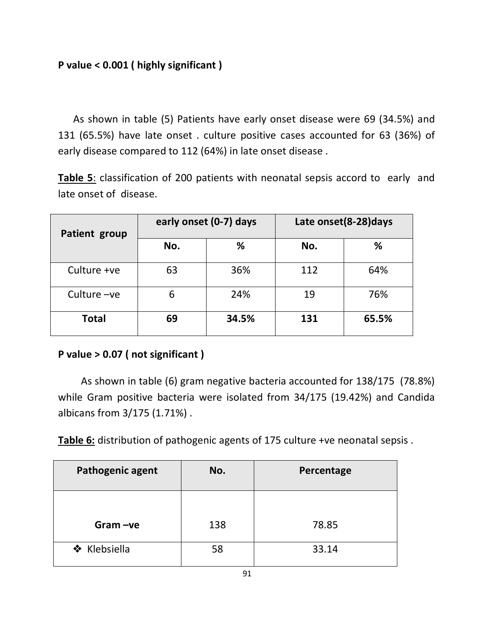As shown in table (5) Patients have early onset disease were 69 (34.5%) and 131 (65.5%) have late onset . culture positive cases accounted for 63 (36%) of early disease compared to 112 (64%) in late onset disease .

**Table 5**: classification of 200 patients with neonatal sepsis accord to early and late onset of disease.

| Patient group | early onset (0-7) days |       | Late onset(8-28) days |       |
|---------------|------------------------|-------|-----------------------|-------|
|               | No.                    | %     | No.                   | %     |
| Culture +ve   | 63                     | 36%   | 112                   | 64%   |
| Culture $-ve$ | 6                      | 24%   | 19                    | 76%   |
| <b>Total</b>  | 69                     | 34.5% | 131                   | 65.5% |

#### **P value > 0.07 ( not significant )**

 As shown in table (6) gram negative bacteria accounted for 138/175 (78.8%) while Gram positive bacteria were isolated from 34/175 (19.42%) and Candida albicans from 3/175 (1.71%) .

**Table 6:** distribution of pathogenic agents of 175 culture +ve neonatal sepsis .

| Pathogenic agent | No. | Percentage |
|------------------|-----|------------|
| $Gram -ve$       | 138 | 78.85      |
| ❖ Klebsiella     | 58  | 33.14      |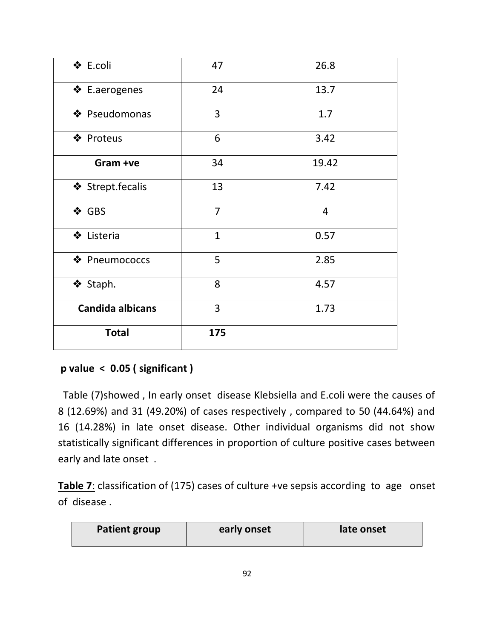| ❖ E.coli                | 47             | 26.8           |
|-------------------------|----------------|----------------|
| ❖ E.aerogenes           | 24             | 13.7           |
| ❖ Pseudomonas           | $\overline{3}$ | 1.7            |
| ❖ Proteus               | 6              | 3.42           |
| Gram +ve                | 34             | 19.42          |
| ❖ Strept.fecalis        | 13             | 7.42           |
| ❖ GBS                   | $\overline{7}$ | $\overline{4}$ |
| ❖ Listeria              | $\mathbf{1}$   | 0.57           |
| ❖ Pneumococcs           | 5              | 2.85           |
| ❖ Staph.                | 8              | 4.57           |
| <b>Candida albicans</b> | 3              | 1.73           |
| <b>Total</b>            | 175            |                |

# **p value < 0.05 ( significant )**

 Table (7)showed , In early onset disease Klebsiella and E.coli were the causes of 8 (12.69%) and 31 (49.20%) of cases respectively , compared to 50 (44.64%) and 16 (14.28%) in late onset disease. Other individual organisms did not show statistically significant differences in proportion of culture positive cases between early and late onset .

**Table 7**: classification of (175) cases of culture +ve sepsis according to age onset of disease .

| <b>Patient group</b> | early onset | late onset |
|----------------------|-------------|------------|
|----------------------|-------------|------------|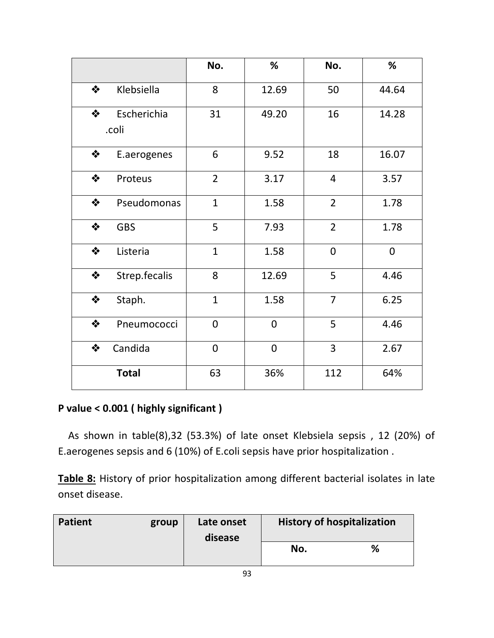|   |                      | No.            | %           | No.            | %           |
|---|----------------------|----------------|-------------|----------------|-------------|
| ❖ | Klebsiella           | 8              | 12.69       | 50             | 44.64       |
| ❖ | Escherichia<br>.coli | 31             | 49.20       | 16             | 14.28       |
| ❖ | E.aerogenes          | 6              | 9.52        | 18             | 16.07       |
| ❖ | Proteus              | $\overline{2}$ | 3.17        | $\overline{4}$ | 3.57        |
| ❖ | Pseudomonas          | $\mathbf{1}$   | 1.58        | $\overline{2}$ | 1.78        |
| ❖ | <b>GBS</b>           | 5              | 7.93        | $\overline{2}$ | 1.78        |
| ❖ | Listeria             | $\mathbf{1}$   | 1.58        | $\overline{0}$ | $\mathbf 0$ |
| ❖ | Strep.fecalis        | 8              | 12.69       | 5              | 4.46        |
| ❖ | Staph.               | $\mathbf{1}$   | 1.58        | $\overline{7}$ | 6.25        |
| ❖ | Pneumococci          | $\overline{0}$ | $\mathbf 0$ | 5              | 4.46        |
| ❖ | Candida              | $\mathbf 0$    | $\mathbf 0$ | 3              | 2.67        |
|   | <b>Total</b>         | 63             | 36%         | 112            | 64%         |

## **P value < 0.001 ( highly significant )**

 As shown in table(8),32 (53.3%) of late onset Klebsiela sepsis , 12 (20%) of E.aerogenes sepsis and 6 (10%) of E.coli sepsis have prior hospitalization .

**Table 8:** History of prior hospitalization among different bacterial isolates in late onset disease.

| <b>Patient</b> | group | Late onset<br>disease | <b>History of hospitalization</b> |   |
|----------------|-------|-----------------------|-----------------------------------|---|
|                |       |                       | No.                               | % |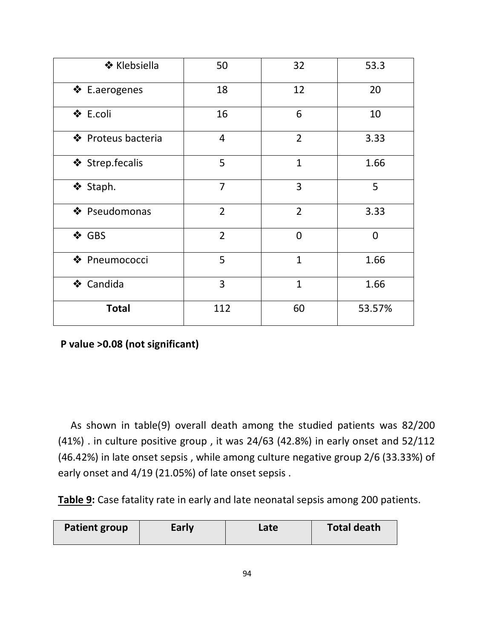| ❖ Klebsiella       | 50             | 32             | 53.3           |
|--------------------|----------------|----------------|----------------|
| ❖ E.aerogenes      | 18             | 12             | 20             |
| ❖ E.coli           | 16             | 6              | 10             |
| ❖ Proteus bacteria | $\overline{4}$ | $\overline{2}$ | 3.33           |
| ❖ Strep.fecalis    | 5              | $\mathbf{1}$   | 1.66           |
| ❖ Staph.           | $\overline{7}$ | 3              | 5              |
| ❖ Pseudomonas      | $\overline{2}$ | $\overline{2}$ | 3.33           |
| ❖ GBS              | $\overline{2}$ | $\overline{0}$ | $\overline{0}$ |
| ❖ Pneumococci      | 5              | $\mathbf{1}$   | 1.66           |
| ❖ Candida          | 3              | $\mathbf{1}$   | 1.66           |
| <b>Total</b>       | 112            | 60             | 53.57%         |

**P value >0.08 (not significant)**

 As shown in table(9) overall death among the studied patients was 82/200 (41%) . in culture positive group , it was 24/63 (42.8%) in early onset and 52/112 (46.42%) in late onset sepsis , while among culture negative group 2/6 (33.33%) of early onset and 4/19 (21.05%) of late onset sepsis .

**Table 9:** Case fatality rate in early and late neonatal sepsis among 200 patients.

| <b>Patient group</b> | Early | Late | <b>Total death</b> |
|----------------------|-------|------|--------------------|
|----------------------|-------|------|--------------------|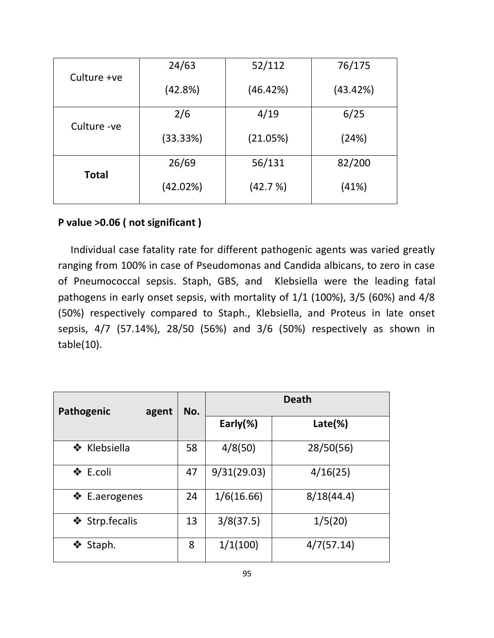| Culture +ve  | 24/63    | 52/112   | 76/175   |
|--------------|----------|----------|----------|
|              | (42.8%)  | (46.42%) | (43.42%) |
|              | 2/6      | 4/19     | 6/25     |
| Culture - ve | (33.33%) | (21.05%) | (24%)    |
|              | 26/69    | 56/131   | 82/200   |
| <b>Total</b> | (42.02%) | (42.7%)  | (41%)    |

#### **P value >0.06 ( not significant )**

Individual case fatality rate for different pathogenic agents was varied greatly ranging from 100% in case of Pseudomonas and Candida albicans, to zero in case of Pneumococcal sepsis. Staph, GBS, and Klebsiella were the leading fatal pathogens in early onset sepsis, with mortality of 1/1 (100%), 3/5 (60%) and 4/8 (50%) respectively compared to Staph., Klebsiella, and Proteus in late onset sepsis, 4/7 (57.14%), 28/50 (56%) and 3/6 (50%) respectively as shown in table(10).

| Pathogenic<br>agent | No. | <b>Death</b> |                   |
|---------------------|-----|--------------|-------------------|
|                     |     | Early $(\%)$ | $\text{Late}(\%)$ |
| ❖ Klebsiella        | 58  | 4/8(50)      | 28/50(56)         |
| ❖ E.coli            | 47  | 9/31(29.03)  | 4/16(25)          |
| ❖ E.aerogenes       | 24  | 1/6(16.66)   | 8/18(44.4)        |
| ❖ Strp.fecalis      | 13  | 3/8(37.5)    | 1/5(20)           |
| ❖<br>Staph.         | 8   | 1/1(100)     | 4/7(57.14)        |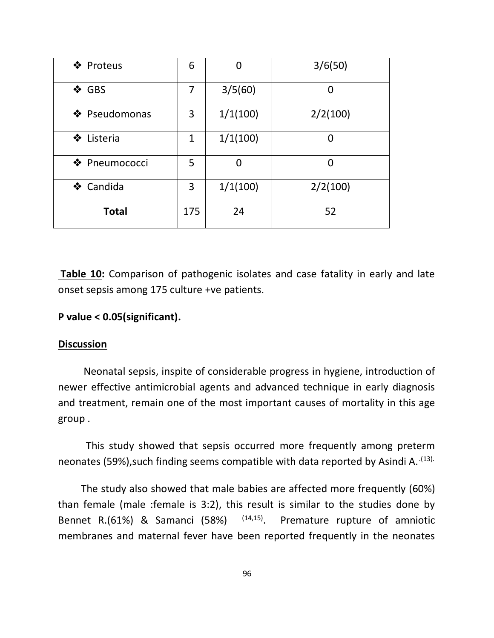| ❖ Proteus     | 6   | 0        | 3/6(50)  |
|---------------|-----|----------|----------|
| ❖ GBS         | 7   | 3/5(60)  | 0        |
| ❖ Pseudomonas | 3   | 1/1(100) | 2/2(100) |
| ❖ Listeria    | 1   | 1/1(100) | 0        |
| ❖ Pneumococci | 5   | O        | 0        |
| ❖ Candida     | 3   | 1/1(100) | 2/2(100) |
| <b>Total</b>  | 175 | 24       | 52       |

**Table 10:** Comparison of pathogenic isolates and case fatality in early and late onset sepsis among 175 culture +ve patients.

#### **P value < 0.05(significant).**

#### **Discussion**

 Neonatal sepsis, inspite of considerable progress in hygiene, introduction of newer effective antimicrobial agents and advanced technique in early diagnosis and treatment, remain one of the most important causes of mortality in this age group .

 This study showed that sepsis occurred more frequently among preterm neonates (59%), such finding seems compatible with data reported by Asindi A. (13).

 The study also showed that male babies are affected more frequently (60%) than female (male :female is 3:2), this result is similar to the studies done by Bennet R.(61%) & Samanci (58%) (14,15). Premature rupture of amniotic membranes and maternal fever have been reported frequently in the neonates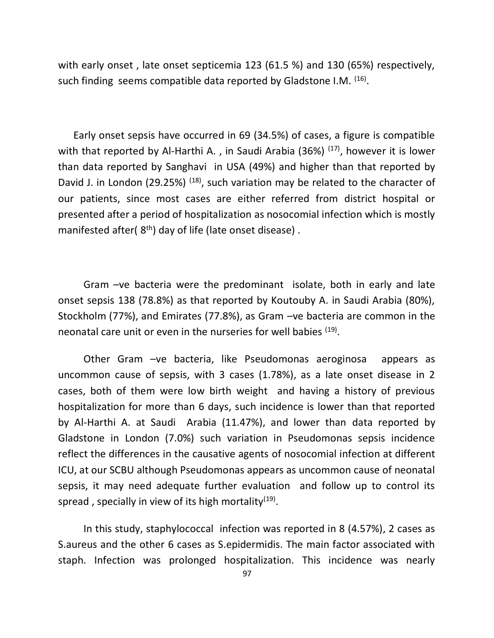with early onset , late onset septicemia 123 (61.5 %) and 130 (65%) respectively, such finding seems compatible data reported by Gladstone I.M. <sup>(16)</sup>.

 Early onset sepsis have occurred in 69 (34.5%) of cases, a figure is compatible with that reported by Al-Harthi A., in Saudi Arabia (36%)  $(17)$ , however it is lower than data reported by Sanghavi in USA (49%) and higher than that reported by David J. in London (29.25%)  $(18)$ , such variation may be related to the character of our patients, since most cases are either referred from district hospital or presented after a period of hospitalization as nosocomial infection which is mostly manifested after( $8<sup>th</sup>$ ) day of life (late onset disease).

 Gram –ve bacteria were the predominant isolate, both in early and late onset sepsis 138 (78.8%) as that reported by Koutouby A. in Saudi Arabia (80%), Stockholm (77%), and Emirates (77.8%), as Gram –ve bacteria are common in the neonatal care unit or even in the nurseries for well babies <sup>(19)</sup>.

 Other Gram –ve bacteria, like Pseudomonas aeroginosa appears as uncommon cause of sepsis, with 3 cases (1.78%), as a late onset disease in 2 cases, both of them were low birth weight and having a history of previous hospitalization for more than 6 days, such incidence is lower than that reported by Al-Harthi A. at Saudi Arabia (11.47%), and lower than data reported by Gladstone in London (7.0%) such variation in Pseudomonas sepsis incidence reflect the differences in the causative agents of nosocomial infection at different ICU, at our SCBU although Pseudomonas appears as uncommon cause of neonatal sepsis, it may need adequate further evaluation and follow up to control its spread , specially in view of its high mortality $^{(19)}$ .

 In this study, staphylococcal infection was reported in 8 (4.57%), 2 cases as S.aureus and the other 6 cases as S.epidermidis. The main factor associated with staph. Infection was prolonged hospitalization. This incidence was nearly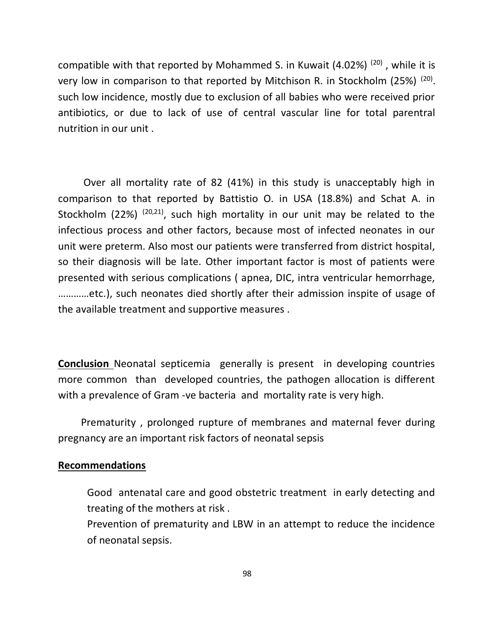compatible with that reported by Mohammed S. in Kuwait  $(4.02\%)$   $(20)$ , while it is very low in comparison to that reported by Mitchison R. in Stockholm (25%)<sup>(20)</sup>. such low incidence, mostly due to exclusion of all babies who were received prior antibiotics, or due to lack of use of central vascular line for total parentral nutrition in our unit .

 Over all mortality rate of 82 (41%) in this study is unacceptably high in comparison to that reported by Battistio O. in USA (18.8%) and Schat A. in Stockholm (22%)  $(20,21)$ , such high mortality in our unit may be related to the infectious process and other factors, because most of infected neonates in our unit were preterm. Also most our patients were transferred from district hospital, so their diagnosis will be late. Other important factor is most of patients were presented with serious complications ( apnea, DIC, intra ventricular hemorrhage, …………etc.), such neonates died shortly after their admission inspite of usage of the available treatment and supportive measures .

**Conclusion** Neonatal septicemia generally is present in developing countries more common than developed countries, the pathogen allocation is different with a prevalence of Gram -ve bacteria and mortality rate is very high.

 Prematurity , prolonged rupture of membranes and maternal fever during pregnancy are an important risk factors of neonatal sepsis

#### **Recommendations**

Good antenatal care and good obstetric treatment in early detecting and treating of the mothers at risk .

Prevention of prematurity and LBW in an attempt to reduce the incidence of neonatal sepsis.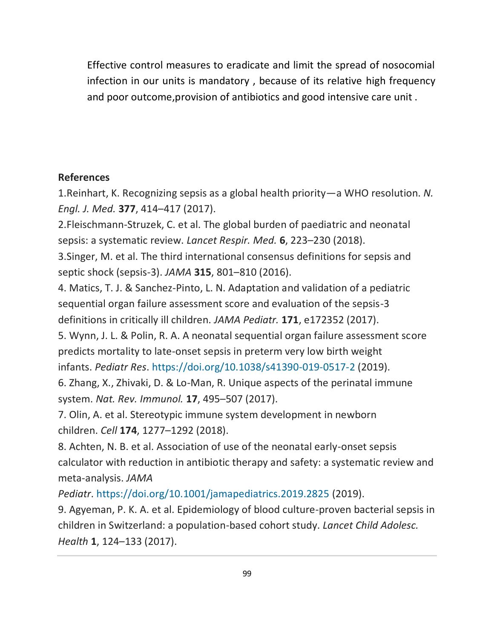Effective control measures to eradicate and limit the spread of nosocomial infection in our units is mandatory , because of its relative high frequency and poor outcome,provision of antibiotics and good intensive care unit .

#### **References**

1.Reinhart, K. Recognizing sepsis as a global health priority—a WHO resolution. *N. Engl. J. Med.* **377**, 414–417 (2017).

2.Fleischmann-Struzek, C. et al. The global burden of paediatric and neonatal sepsis: a systematic review. *Lancet Respir. Med.* **6**, 223–230 (2018).

3.Singer, M. et al. The third international consensus definitions for sepsis and septic shock (sepsis-3). *JAMA* **315**, 801–810 (2016).

4. Matics, T. J. & Sanchez-Pinto, L. N. Adaptation and validation of a pediatric sequential organ failure assessment score and evaluation of the sepsis-3 definitions in critically ill children. *JAMA Pediatr.* **171**, e172352 (2017).

5. Wynn, J. L. & Polin, R. A. A neonatal sequential organ failure assessment score predicts mortality to late-onset sepsis in preterm very low birth weight

infants. *Pediatr Res*. <https://doi.org/10.1038/s41390-019-0517-2> (2019).

6. Zhang, X., Zhivaki, D. & Lo-Man, R. Unique aspects of the perinatal immune system. *Nat. Rev. Immunol.* **17**, 495–507 (2017).

7. Olin, A. et al. Stereotypic immune system development in newborn children. *Cell* **174**, 1277–1292 (2018).

8. Achten, N. B. et al. Association of use of the neonatal early-onset sepsis calculator with reduction in antibiotic therapy and safety: a systematic review and meta-analysis. *JAMA* 

*Pediatr*. <https://doi.org/10.1001/jamapediatrics.2019.2825> (2019).

9. Agyeman, P. K. A. et al. Epidemiology of blood culture-proven bacterial sepsis in children in Switzerland: a population-based cohort study. *Lancet Child Adolesc. Health* **1**, 124–133 (2017).